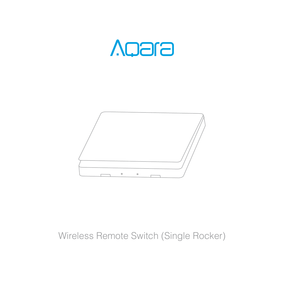



# Wireless Remote Switch (Single Rocker)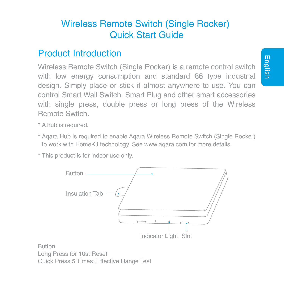# Wireless Remote Switch (Single Rocker) Quick Start Guide

## Product Introduction

Wireless Remote Switch (Single Rocker) is a remote control switch with low energy consumption and standard 86 type industrial design. Simply place or stick it almost anywhere to use. You can control Smart Wall Switch, Smart Plug and other smart accessories with single press, double press or long press of the Wireless Remote Switch.

- \* A hub is required.
- Aqara Hub is required to enable Aqara Wireless Remote Switch (Single Rocker) \* to work with HomeKit technology. See www.aqara.com for more details.

Indicator Light Slot

\* This product is for indoor use only.

Button Insulation Tab

Button Long Press for 10s: Reset Quick Press 5 Times: Effective Range Test

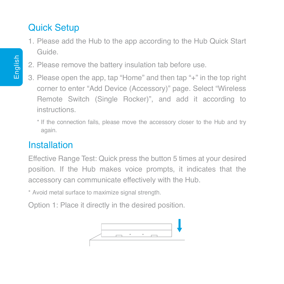# Quick Setup

- 1. Please add the Hub to the app according to the Hub Quick Start Guide.
- 2. Please remove the battery insulation tab before use.
- 3. Please open the app, tap "Home" and then tap "+" in the top right corner to enter "Add Device (Accessory)" page. Select "Wireless Remote Switch (Single Rocker)", and add it according to instructions.
	- \* If the connection fails, please move the accessory closer to the Hub and try again.

# Installation

Effective Range Test: Quick press the button 5 times at your desired position. If the Hub makes voice prompts, it indicates that the accessory can communicate effectively with the Hub.

\* Avoid metal surface to maximize signal strength.

Option 1: Place it directly in the desired position.

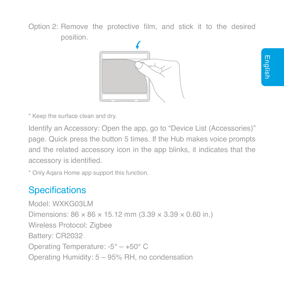Option 2: Remove the protective film, and stick it to the desired position.



English

\* Keep the surface clean and dry.

Identify an Accessory: Open the app, go to "Device List (Accessories)" page. Quick press the button 5 times. If the Hub makes voice prompts and the related accessory icon in the app blinks, it indicates that the accessory is identified.

\* Only Aqara Home app support this function.

## **Specifications**

Model: WXKG03LM Dimensions: 86 × 86 × 15.12 mm (3.39 × 3.39 × 0.60 in.) Wireless Protocol: Zigbee Battery: CR2032 Operating Temperature: -5° – +50° C Operating Humidity: 5 – 95% RH, no condensation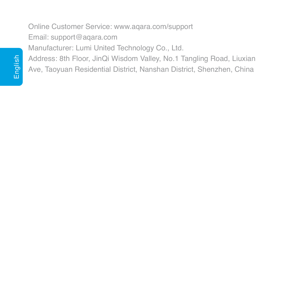## Online Customer Service: www.aqara.com/support Email: support@aqara.com Manufacturer: Lumi United Technology Co., Ltd. Address: 8th Floor, JinQi Wisdom Valley, No.1 Tangling Road, Liuxian Ave, Taoyuan Residential District, Nanshan District, Shenzhen, China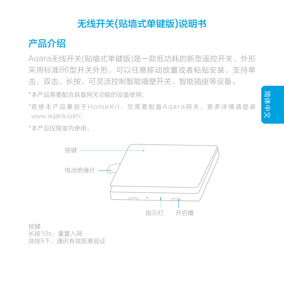# 无线开关(贴墙式单键版)说明书

产品介绍

Aqara无线开关(贴墙式单键版)是一款低功耗的新型遥控开关,外形 采用标准86型开关外形,可以任意移动放置或者粘贴安装,支持单 击、双击、长按,可灵活控制智能墙壁开关、智能插座等设备。

\*本产品需要配合具备网关功能的设备使用;

\*若使本产品兼容于HomeKit,您需要配备Aqara网关,更多详情请登录 www.aqara.com;

\*本产品仅限室内使用。



按键 长按10s:重置入网 快按5下:通讯有效距离验证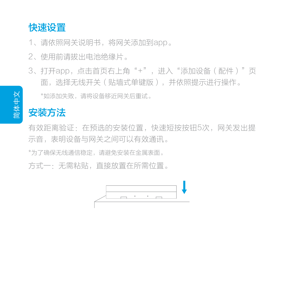# 快速设置

1、请依照网关说明书,将网关添加到app。

- 2. 使用前清拔出电池绝缘片。
- \*如添加失败,请将设备移近网关后重试。 3、打开app,点击首页右上角"+",进入"添加设备(配件)"页 面,选择无线开关(贴墙式单键版),并依照提示进行操作。

# 安装方法

有效距离验证:在预选的安装位置,快速短按按钮5次,网关发出提 示音,表明设备与网关之间可以有效通讯。

\*为了确保无线通信稳定,请避免安装在金属表面。

方式一:无需粘贴,直接放置在所需位置。

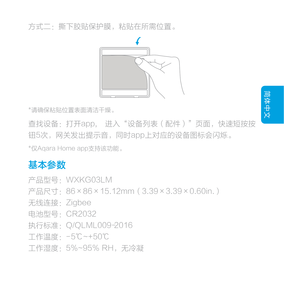方式二:撕下胶贴保护膜,粘贴在所需位置。



\*请确保粘贴位置表面清洁干燥。

查找设备:打开app, 进入"设备列表(配件)"页面,快速短按按 钮5次,网关发出提示音,同时app上对应的设备图标会闪烁。 \*仅Aqara Home app支持该功能。

# 基本参数

- 产品型号:WXKG03LM
- 产品尺寸:86×86×15.12mm(3.39×3.39×0.60in.)
- 无线连接: Zigbee
- 电池型号:CR2032
- 执行标准:Q/QLML009-2016
- 工作温度:- 5℃~+50℃
- 工作湿度:5%~95% RH,无冷凝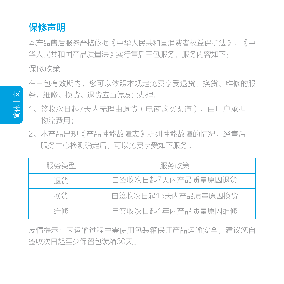

本产品售后服务严格依据《中华人民共和国消费者权益保护法》、《中 华人民共和国产品质量法》实行售后三包服务,服务内容如下: 保修政策

在三包有效期内,您可以依照本规定免费享受退货、换货、维修的服 务,维修、换货、退货应当凭发票办理。

- 1、签收次日起7天内无理由退货(电商购买渠道),由用户承担 物流费用;
- 本产品出现《产品性能故障表》所列性能故障的情况,经售后 2、 服务中心检测确定后,可以免费享受如下服务。

| 服务类型 | 服务政策               |  |  |  |
|------|--------------------|--|--|--|
| 退货   | 白签收次日起7天内产品质量原因退货  |  |  |  |
| 换货   | 白签收次日起15天内产品质量原因换货 |  |  |  |
| 维修   | 白签收次日起1年内产品质量原因维修  |  |  |  |

友情提示:因运输过程中需使用包装箱保证产品运输安全,建议您自 签收次日起至少保留包装箱30天。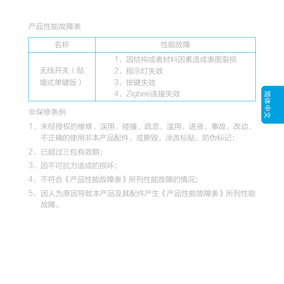产品性能故障表

| 名称               | 性能故障                                                   |  |  |  |  |
|------------------|--------------------------------------------------------|--|--|--|--|
| 无线开关(贴<br>墙式单键版) | 1、因结构或者材料因素造成表面裂损<br>2、指示灯失效<br>3、按键失效<br>4、Zigbee连接失效 |  |  |  |  |

非保修条例

- 未经授权的维修、误用、碰撞、疏忽、滥用、进液、事故、改动、 1、 不正确的使用非本产品配件,或撕毁、涂改标贴、防伪标记;
- 2、已超过三包有效期;
- 3、因不可抗力造成的损坏;
- 4、不符合《产品性能故障表》所列性能故障的情况;
- 因人为原因导致本产品及其配件产生《产品性能故障表》所列性能 5、 故障。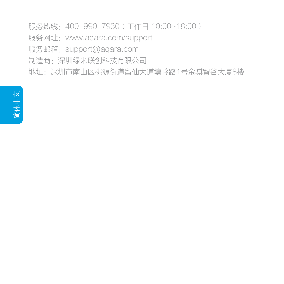服务热线: 400-990-7930 (工作日 10:00~18:00)

服务网址:www.aqara.com/support

服务邮箱: support@aqara.com

制造商:深圳绿米联创科技有限公司

地址:深圳市南山区桃源街道留仙大道塘岭路1号金骐智谷大厦8楼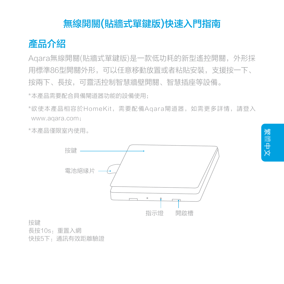# 無線開關(貼牆式單鍵版)快速入門指南



Agara無線開關(貼牆式單鍵版)是一款低功耗的新型遙控開關, 外形採 用標準86型開關外形,可以任意移動放置或者粘貼安裝,支援按一下、 按兩下、長按,可靈活控制智慧牆壁開關、智慧插座等設備。

\*本產品需要配合具備閘道器功能的設備使用;

欲使本產品相容於HomeKit,需要配備Aqara閘道器,如需更多詳情,請登入 \* www.aqara.com;

\*本產品僅限室內使用。



按鍵

長按10s:重置入網 快按5下:通訊有效距離驗證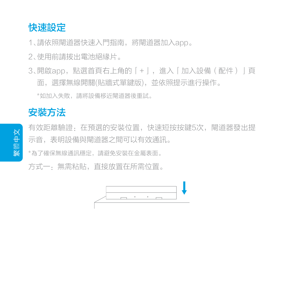## 快速設定

1、請依照閘道器快速入門指南,將閘道器加入app。

2、使用前請拔出電池絕緣片。

3、開啟app,點選首頁右上角的|+亅,進入|加入設備(配件)亅頁 面,選擇無線開關(貼牆式單鍵版),並依照提示進行操作。

\*如加入失敗,請將設備移近閘道器後重試。

# 安裝方法

有效距離驗證:在預選的安裝位置,快速短按按鍵5次,閘道器發出提 示音, 表明設備與間道器之間可以有效通訊。

\*為了確保無線通訊穩定,請避免安裝在金屬表面。

方式一:無需粘貼,直接放置在所需位置。

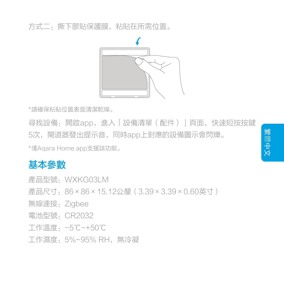方式二:撕下膠貼保護膜,粘貼在所需位置。



\*請確保粘貼位置表面清潔乾燥。

尋找設備:開啟app,進入「設備清單(配件)」頁面,快速短按按鍵 5次,閘道器發出提示音,同時app上對應的設備圖示會閃爍。

\*僅Aqara Home app支援該功能。

# 基本參數

產品型號:WXKG03LM

- 產品尺寸:86×86×15.12公釐(3.39×3.39×0.60英寸)
- 無線連接:Zigbee
- 電池型號:CR2032
- 工作溫度:-5℃~+50℃
- 工作濕度:5%~95% RH,無冷凝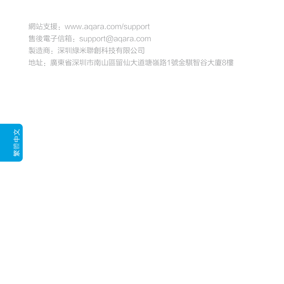網站支援:www.aqara.com/support 售後電子信箱:support@aqara.com 製造商:深圳綠米聯創科技有限公司 地址:廣東省深圳市南山區留仙大道塘嶺路1號金騏智谷大廈8樓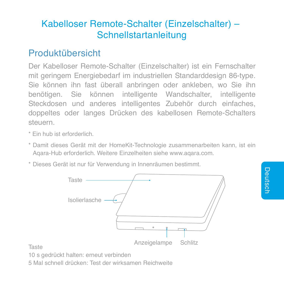# Kabelloser Remote-Schalter (Einzelschalter) – Schnellstartanleitung

## Produktübersicht

Der Kabelloser Remote-Schalter (Einzelschalter) ist ein Fernschalter mit geringem Energiebedarf im industriellen Standarddesign 86-type. Sie können ihn fast überall anbringen oder ankleben, wo Sie ihn benötigen. Sie können intelligente Wandschalter, intelligente Steckdosen und anderes intelligentes Zubehör durch einfaches, doppeltes oder langes Drücken des kabellosen Remote-Schalters steuern.

- \* Ein hub ist erforderlich.
- \* Damit dieses Gerät mit der HomeKit-Technologie zusammenarbeiten kann, ist ein Aqara-Hub erforderlich. Weitere Einzelheiten siehe www.aqara.com.
- \* Dieses Gerät ist nur für Verwendung in Innenräumen bestimmt.



Taste

10 s gedrückt halten: erneut verbinden

5 Mal schnell drücken: Test der wirksamen Reichweite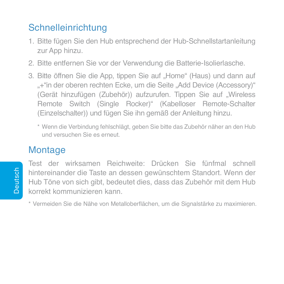# Schnelleinrichtung

- 1. Bitte fügen Sie den Hub entsprechend der Hub-Schnellstartanleitung zur App hinzu.
- 2. Bitte entfernen Sie vor der Verwendung die Batterie-Isolierlasche.
- 3. Bitte öffnen Sie die App, tippen Sie auf "Home" (Haus) und dann auf "+"in der oberen rechten Ecke, um die Seite "Add Device (Accessory)" (Gerät hinzufügen (Zubehör)) aufzurufen. Tippen Sie auf "Wireless Remote Switch (Single Rocker)" (Kabelloser Remote-Schalter (Einzelschalter)) und fügen Sie ihn gemäß der Anleitung hinzu.
	- \* Wenn die Verbindung fehlschlägt, geben Sie bitte das Zubehör näher an den Hub und versuchen Sie es erneut.

# **Montage**

Test der wirksamen Reichweite: Drücken Sie fünfmal schnell hintereinander die Taste an dessen gewünschtem Standort. Wenn der Hub Töne von sich gibt, bedeutet dies, dass das Zubehör mit dem Hub korrekt kommunizieren kann.

\* Vermeiden Sie die Nähe von Metalloberflächen, um die Signalstärke zu maximieren.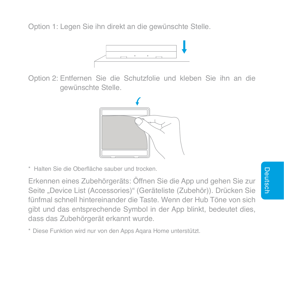Option 1: Legen Sie ihn direkt an die gewünschte Stelle.



Option 2: Entfernen Sie die Schutzfolie und kleben Sie ihn an die gewünschte Stelle.



\* Halten Sie die Oberfläche sauber und trocken.

Erkennen eines Zubehörgeräts: Öffnen Sie die App und gehen Sie zur Seite "Device List (Accessories)" (Geräteliste (Zubehör)). Drücken Sie fünfmal schnell hintereinander die Taste. Wenn der Hub Töne von sich gibt und das entsprechende Symbol in der App blinkt, bedeutet dies, dass das Zubehörgerät erkannt wurde.

\* Diese Funktion wird nur von den Apps Aqara Home unterstützt.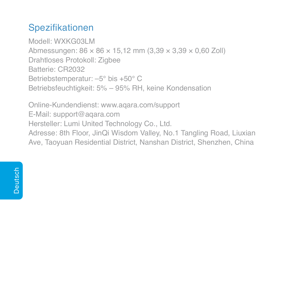# Spezifikationen

Modell: WXKG03LM Abmessungen: 86 × 86 × 15,12 mm (3,39 × 3,39 × 0,60 Zoll) Drahtloses Protokoll: Zigbee Batterie: CR2032 Betriebstemperatur: –5° bis +50° C Betriebsfeuchtigkeit: 5% – 95% RH, keine Kondensation

Online-Kundendienst: www.aqara.com/support E-Mail: support@aqara.com Hersteller: Lumi United Technology Co., Ltd. Adresse: 8th Floor, JinQi Wisdom Valley, No.1 Tangling Road, Liuxian Ave, Taoyuan Residential District, Nanshan District, Shenzhen, China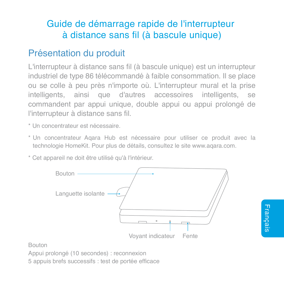# Guide de démarrage rapide de l'interrupteur à distance sans fil (à bascule unique)

# Présentation du produit

L'interrupteur à distance sans fil (à bascule unique) est un interrupteur industriel de type 86 télécommandé à faible consommation. Il se place ou se colle à peu près n'importe où. L'interrupteur mural et la prise intelligents, ainsi que d'autres accessoires intelligents, se commandent par appui unique, double appui ou appui prolongé de l'interrupteur à distance sans fil.

- \* Un concentrateur est nécessaire.
- \* Un concentrateur Aqara Hub est nécessaire pour utiliser ce produit avec la technologie HomeKit. Pour plus de détails, consultez le site www.aqara.com.
- \* Cet appareil ne doit être utilisé qu'à l'intérieur.



Bouton

Appui prolongé (10 secondes) : reconnexion

5 appuis brefs successifs : test de portée efficace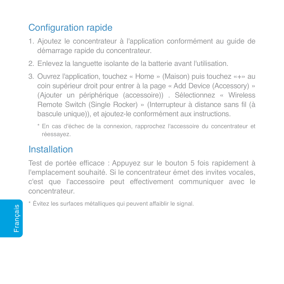# Configuration rapide

- 1. Ajoutez le concentrateur à l'application conformément au guide de démarrage rapide du concentrateur.
- 2. Enlevez la languette isolante de la batterie avant l'utilisation.
- 3. Ouvrez l'application, touchez « Home » (Maison) puis touchez «+» au coin supérieur droit pour entrer à la page « Add Device (Accessory) » (Ajouter un périphérique (accessoire)) . Sélectionnez « Wireless Remote Switch (Single Rocker) » (Interrupteur à distance sans fil (à bascule unique)), et ajoutez-le conformément aux instructions.
	- \* En cas d'échec de la connexion, rapprochez l'accessoire du concentrateur et réessayez.

## Installation

Test de portée efficace : Appuyez sur le bouton 5 fois rapidement à l'emplacement souhaité. Si le concentrateur émet des invites vocales, c'est que l'accessoire peut effectivement communiquer avec le concentrateur.

\* Évitez les surfaces métalliques qui peuvent affaiblir le signal.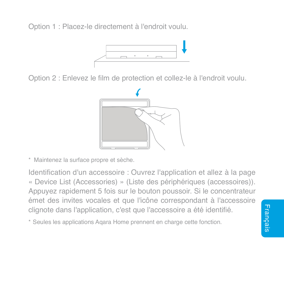Option 1 : Placez-le directement à l'endroit voulu.



Option 2 : Enlevez le film de protection et collez-le à l'endroit voulu.



\* Maintenez la surface propre et sèche.

Identification d'un accessoire : Ouvrez l'application et allez à la page « Device List (Accessories) » (Liste des périphériques (accessoires)). Appuyez rapidement 5 fois sur le bouton poussoir. Si le concentrateur émet des invites vocales et que l'icône correspondant à l'accessoire clignote dans l'application, c'est que l'accessoire a été identifié.

\* Seules les applications Aqara Home prennent en charge cette fonction.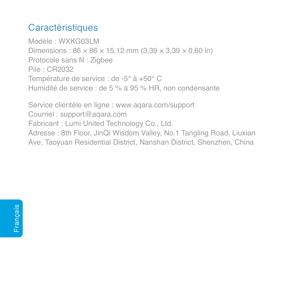# **Caractéristiques**

Modèle : WXKG03LM Dimensions:  $86 \times 86 \times 15,12$  mm  $(3.39 \times 3.39 \times 0.60)$  in) Protocole sans fil : Zigbee Pile : CR2032 Température de service : de -5° à +50° C Humidité de service : de 5 % à 95 % HR, non condensante

Service clientèle en ligne : www.aqara.com/support Courriel : support@aqara.com Fabricant : Lumi United Technology Co., Ltd. Adresse : 8th Floor, JinQi Wisdom Valley, No.1 Tangling Road, Liuxian Ave, Taoyuan Residential District, Nanshan District, Shenzhen, China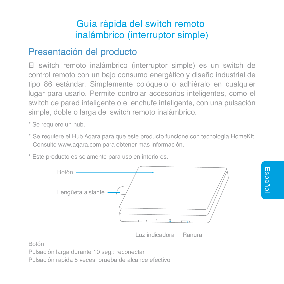# Guía rápida del switch remoto inalámbrico (interruptor simple)

# Presentación del producto

El switch remoto inalámbrico (interruptor simple) es un switch de control remoto con un bajo consumo energético y diseño industrial de tipo 86 estándar. Simplemente colóquelo o adhiéralo en cualquier lugar para usarlo. Permite controlar accesorios inteligentes, como el switch de pared inteligente o el enchufe inteligente, con una pulsación simple, doble o larga del switch remoto inalámbrico.

\* Se requiere un hub.

- \* Se requiere el Hub Aqara para que este producto funcione con tecnología HomeKit. Consulte www.aqara.com para obtener más información.
- \* Este producto es solamente para uso en interiores.



Botón

Pulsación larga durante 10 seg.: reconectar

Pulsación rápida 5 veces: prueba de alcance efectivo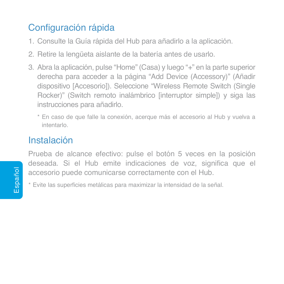# Configuración rápida

- 1. Consulte la Guía rápida del Hub para añadirlo a la aplicación.
- 2. Retire la lengüeta aislante de la batería antes de usarlo.
- 3. Abra la aplicación, pulse "Home" (Casa) y luego "+" en la parte superior derecha para acceder a la página "Add Device (Accessory)" (Añadir dispositivo [Accesorio]). Seleccione "Wireless Remote Switch (Single Rocker)" (Switch remoto inalámbrico linterruptor simple]) y siga las instrucciones para añadirlo.
	- \* En caso de que falle la conexión, acerque más el accesorio al Hub y vuelva a intentarlo.

# Instalación

Prueba de alcance efectivo: pulse el botón 5 veces en la posición deseada. Si el Hub emite indicaciones de voz, significa que el accesorio puede comunicarse correctamente con el Hub.

\* Evite las superficies metálicas para maximizar la intensidad de la señal.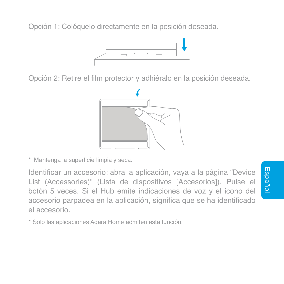Opción 1: Colóquelo directamente en la posición deseada.



Opción 2: Retire el film protector y adhiéralo en la posición deseada.



\* Mantenga la superficie limpia y seca.

Identificar un accesorio: abra la aplicación, vaya a la página "Device List (Accessories)" (Lista de dispositivos [Accesorios]). Pulse el botón 5 veces. Si el Hub emite indicaciones de voz y el icono del accesorio parpadea en la aplicación, significa que se ha identificado el accesorio.

\* Solo las aplicaciones Aqara Home admiten esta función.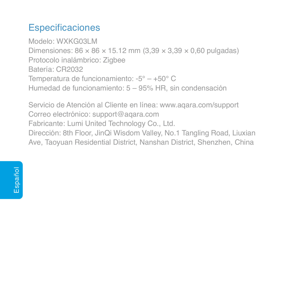# **Especificaciones**

Modelo: WXKG03LM Dimensiones:  $86 \times 86 \times 15.12$  mm  $(3.39 \times 3.39 \times 0.60$  pulgadas) Protocolo inalámbrico: Zigbee Batería: CR2032 Temperatura de funcionamiento: -5° – +50° C Humedad de funcionamiento: 5 – 95% HR, sin condensación

Servicio de Atención al Cliente en línea: www.aqara.com/support Correo electrónico: support@aqara.com Fabricante: Lumi United Technology Co., Ltd. Dirección: 8th Floor, JinQi Wisdom Valley, No.1 Tangling Road, Liuxian Ave, Taoyuan Residential District, Nanshan District, Shenzhen, China

Español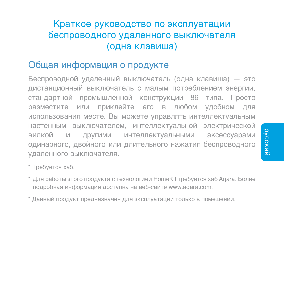# Краткое руководство по эксплуатации беспроводного удаленного выключателя (одна клавиша)

## Общая информация о продукте

Беспроводной удаленный выключатель (одна клавиша) — это дистанционный выключатель с малым потреблением энергии, стандартной промышленной конструкции 86 типа. Просто разместите или приклейте его в любом удобном для использования месте. Вы можете управлять интеллектуальным настенным выключателем, интеллектуальной электрической вилкой и другими интеллектуальными аксессуарами одинарного, двойного или длительного нажатия беспроводного удаленного выключателя.

\* Требуется хаб.

- \* Для работы этого продукта с технологией HomeKit требуется хаб Aqara. Более подробная информация доступна на веб-сайте www.aqara.com.
- \* Данный продукт предназначен для эксплуатации только в помещении.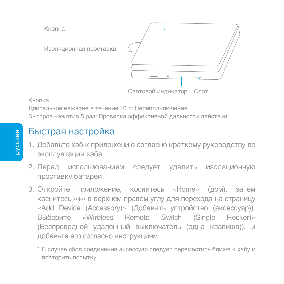

#### Кнопка

Длительное нажатие в течение 10 с: Переподключение Быстрое нажатие 5 раз: Проверка эффективной дальности действия

# Быстрая настройка

- Добавьте хаб к приложению согласно краткому руководству по 1. эксплуатации хаба.
- 2. Перед использованием следует удалить изоляционную проставку батареи.
- Откройте приложение, коснитесь «Home» (дом), затем 3. коснитесь «+» в верхнем правом углу для перехода на страницу «Add Device (Accessory)» (Добавить устройство (аксессуар)). Выберите «Wireless Remote Switch (Single Rocker)» (Беспроводной удаленный выключатель (одна клавиша)), и добавьте его согласно инструкциям.
	- \* В случае сбоя соединения аксессуар следует переместить ближе к хабу и повторить попытку.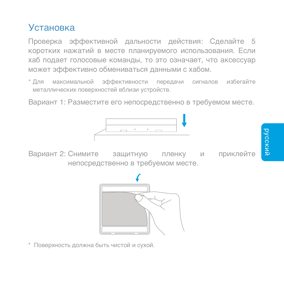## Установка

Проверка эффективной дальности действия: Сделайте 5 коротких нажатий в месте планируемого использования. Если хаб подает голосовые команды, то это означает, что аксессуар может эффективно обмениваться данными с хабом.

\* Для максимальной эффективности передачи сигналов избегайте металлических поверхностей вблизи устройств.

Вариант 1: Разместите его непосредственно в требуемом месте.



Вариант 2: Снимите ващитную пленку и приклейте непосредственно в требуемом месте.



\* Поверхность должна быть чистой и сухой.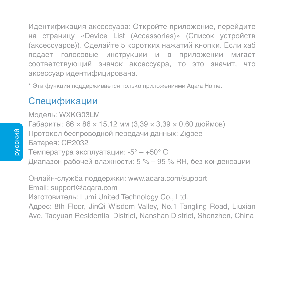Идентификация аксессуара: Откройте приложение, перейдите на страницу «Device List (Accessories)» (Список устройств (аксессуаров)). Сделайте 5 коротких нажатий кнопки. Если хаб подает голосовые инструкции и в приложении мигает соответствующий значок аксессуара, то это значит, что аксессуар идентифицирована.

\* Эта функция поддерживается только приложениями Aqara Home.

### Спецификации

Модель: WXKG03LM Габариты: 86 × 86 × 15,12 мм (3,39 × 3,39 × 0,60 дюймов) Протокол беспроводной передачи данных: Zigbee Батарея: CR2032 Температура эксплуатации: -5° – +50° C Диапазон рабочей влажности: 5 % – 95 % RH, без конденсации

Онлайн-служба поддержки: www.aqara.com/support Email: support@aqara.com Изготовитель: Lumi United Technology Co., Ltd. Адрес: 8th Floor, JinQi Wisdom Valley, No.1 Tangling Road, Liuxian Ave, Taoyuan Residential District, Nanshan District, Shenzhen, China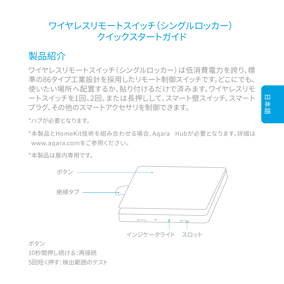## ワイヤレスリモートスイッチ (シングルロッカー) **クイックフタートガイド**

## 製品紹介

ワイヤレスリモートスイッチ (シングルロッカー)は低消費雷力を誇り、標 準の86タイプ工業設計を採用したリモート制御スイッチです。どこにでも、 使いたい場所へ配置するか、貼り付けるだけで済みます。ワイヤレスリモ ートスイッチを1回、2回、または長押しして、スマート壁スイッチ、スマート プラグ、その他のスマートアクセサリを制御できます。

\*ハブが必要となります。

\*本製品とHomeKit技術を組み合わせる場合、Agara Hubが必要となります。詳細は www.agara.comをご参照ください。

\*本製品は屋内専用です。



ボタン

10秒間押し続ける:再接続

5回短く押す:検出範囲のテスト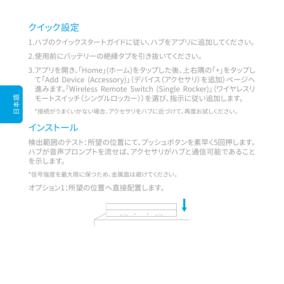# クイック設定

1.ハブのクイックスタートガイドに従い、ハブをアプリに追加してください。 2.使用前にバッテリーの絶縁タブを引き抜いてください。

3.アフリを開き、「Home」(ホーム)をタッフした俊、上石隅の「+」をタッフし て「Add Device (Accessory)」(テハイス(アクセサリ) を追加) ページへ 進みます。『Wireless Remote Switch (Single Rocker)』 (ワイヤレスリ モートスイッチ(シングルロッカー))を選び、指示に従い追加します。

\*接続がうまくいかない場合、アクセサリをハブに近づけて、再度お試しください。

# インストール

検出範囲のテスト:所望の位置にて、プッシュボタンを素早く5回押します。 ハブが音声プロンプトを流せば、アクセサリがハブと通信可能であること を示します。

\*信号強度を最大限に保つため、金属面は避けてください。

オプション1:所望の位置へ直接配置します。

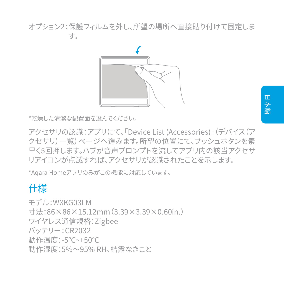オフション2:侏護ノイルムを外し、所望の場所へ且接貼り付けて固定しま  $\overline{g}_0$ 



\*乾燥した清潔な配置面を選んでください。

アクセサリの認識:アフリにて、「Device List (Accessories)」 (テハイス(ア クヤサリ)ー覧)ページへ進みます。所望の位置にて、プッシュボタンを素 早く5回押します。ハブが音声プロンプトを流してアプリ内の該当アクセサ りアイコンが点滅すれば、アクセサリが認識されたことを示します。

\*Agara Homeアプリのみがこの機能に対応しています。

# 什様

 $\pm\neq$  II. WYKG03LM 寸法:86×86×15.12mm(3.39×3.39×0.60in.) ワイヤレス通信規格: Zigbee バッテリー: CR2032 動作温度:-5℃~+50℃ 動作湿度:5%~95% RH、結露なきこと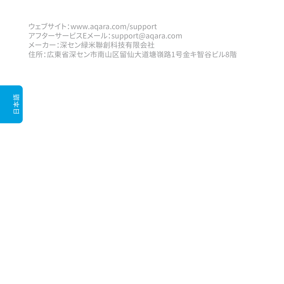ウェブサイト: www.agara.com/support アフターサービスEメール:support@aqara.com メーカー:深セン緑米聯創科技有限会社 住所:広東省深セン市南山区留仙大道塘嶺路1号金キ智谷ビル8階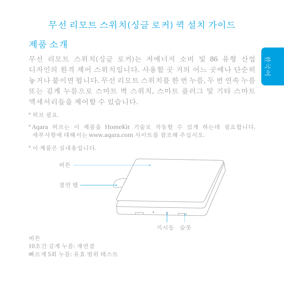#### 무선 리모트 스위치(싱글 로커) 퀵 설치 가이드

### 제품 소개

무선 리모트 스위치(싱글 로커)는 저에너지 소비 및 86 유형 산업 디자인의 원격 제어 스위치입니다. 사용할 곳 거의 어느 곳에나 단순히 놓거나 붙이면 됩니다. 무선 리모트 스위치를 한 번 누름, 두 번 연속 누름 또는 길게 누름으로 스마트 벽 스위치, 스마트 플러그 및 기타 스마트 액세서리들을 제어할 수 있습니다.

\* 허브 필요.

- \*Aqara 허브는 이 제품을 HomeKit 기술로 작동할 수 있게 하는데 필요합니다. 세부사항에 대해서는 www.aqara.com 사이트를 참조해 주십시오.
- \* 이 제품은 실내용입니다.



버튼

10초간 길게 누름: 재연결

빠르게 5회 누름: 유효 범위 테스트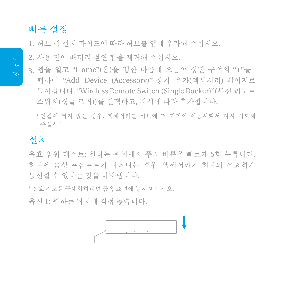### 빠른 설정

1. 허브 퀵 설치 가이드에 따라 허브를 앱에 추가해 주십시오.

2. 사용 전에 배터리 절연 탭을 제거해 주십시오.

- 3. 앱을 열고 "Home"(홈)을 탭한 다음에 오른쪽 상단 구석의 "+"를 탭하여 "Add Device (Accessory)"(장치 추가(액세서리))페이지로 들어갑니다. "Wireless Remote Switch (Single Rocker)"(무선 리모트 스위치(싱글 로커))를 선택하고, 지시에 따라 추가합니다.
	- \*연결이 되지 않는 경우, 액세서리를 허브에 더 가까이 이동시켜서 다시 시도해 주십시오.

### 설치

유효 범위 테스트: 원하는 위치에서 푸시 버튼을 빠르게 5회 누릅니다. 허브에 음성 프롬프트가 나타나는 경우, 액세서리가 허브와 유효하게 통신할 수 있다는 것을 나타냅니다.

\* 신호 강도를 극대화하려면 금속 표면에 놓지 마십시오.

옵션 1: 원하는 위치에 직접 놓습니다.

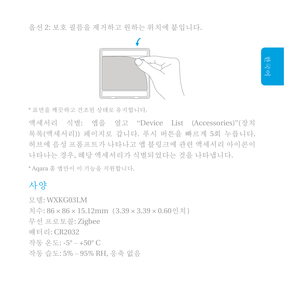옵션 2: 보호 필름을 제거하고 원하는 위치에 붙입니다.



\* 표면을 깨끗하고 건조된 상태로 유지합니다.

액세서리 식별: 앱을 열고 "Device List (Accessories)"(장치 목록(액세서리)) 페이지로 갑니다. 푸시 버튼을 빠르게 5회 누릅니다. 허브에 음성 프롬프트가 나타나고 앱 블링크에 관련 액세서리 아이콘이 나타나는 경우, 해당 액세서리가 식별되었다는 것을 나타냅니다.

\* Aqara 홈 앱만이 이 기능을 지원합니다.

### 사양

모델: WXKG03LM

치수: 86 × 86 × 15.12mm (3.39 × 3.39 × 0.60인치)

무선 프로토콜: Zigbee

배터리: CR2032

작동 온도: -5° – +50° C

작동 습도: 5% – 95% RH, 응축 없음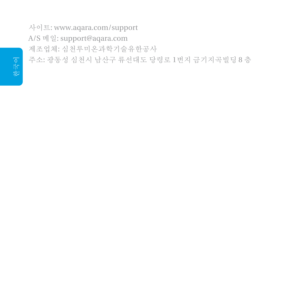사이트: www.aqara.com/support A/S 메일: support@aqara.com 제조업체: 심천루미온과학기술유한공사 주소: 광동성 심천시 남산구 류선대도 당령로 1번지 금기지곡빌딩 8 층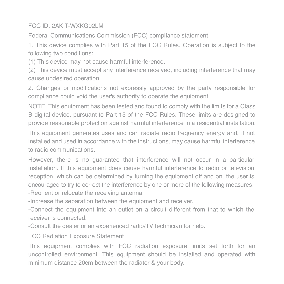#### FCC ID: 2AKIT-WXKG02LM

Federal Communications Commission (FCC) compliance statement

1. This device complies with Part 15 of the FCC Rules. Operation is subject to the following two conditions:

(1) This device may not cause harmful interference.

(2) This device must accept any interference received, including interference that may cause undesired operation.

2. Changes or modifications not expressly approved by the party responsible for compliance could void the user's authority to operate the equipment.

NOTE: This equipment has been tested and found to comply with the limits for a Class B digital device, pursuant to Part 15 of the FCC Rules. These limits are designed to provide reasonable protection against harmful interference in a residential installation.

This equipment generates uses and can radiate radio frequency energy and, if not installed and used in accordance with the instructions, may cause harmful interference to radio communications.

However, there is no guarantee that interference will not occur in a particular installation. If this equipment does cause harmful interference to radio or television reception, which can be determined by turning the equipment off and on, the user is encouraged to try to correct the interference by one or more of the following measures: -Reorient or relocate the receiving antenna.

-Increase the separation between the equipment and receiver.

-Connect the equipment into an outlet on a circuit different from that to which the receiver is connected.

-Consult the dealer or an experienced radio/TV technician for help.

FCC Radiation Exposure Statement

This equipment complies with FCC radiation exposure limits set forth for an uncontrolled environment. This equipment should be installed and operated with minimum distance 20cm between the radiator & your body.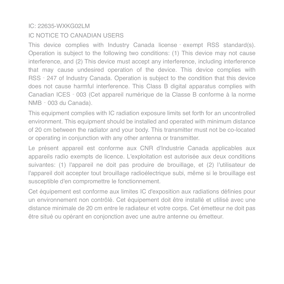#### IC: 22635-WXKG02LM

#### IC NOTICE TO CANADIAN USERS

This device complies with Industry Canada license‐exempt RSS standard(s). Operation is subject to the following two conditions: (1) This device may not cause interference, and (2) This device must accept any interference, including interference that may cause undesired operation of the device. This device complies with RSS‐247 of Industry Canada. Operation is subject to the condition that this device does not cause harmful interference. This Class B digital apparatus complies with Canadian ICES‐003 (Cet appareil numérique de la Classe B conforme à la norme NMB‐003 du Canada).

This equipment complies with IC radiation exposure limits set forth for an uncontrolled environment. This equipment should be installed and operated with minimum distance of 20 cm between the radiator and your body. This transmitter must not be co-located or operating in conjunction with any other antenna or transmitter.

Le présent appareil est conforme aux CNR d'Industrie Canada applicables aux appareils radio exempts de licence. L'exploitation est autorisée aux deux conditions suivantes: (1) l'appareil ne doit pas produire de brouillage, et (2) l'utilisateur de l'appareil doit accepter tout brouillage radioélectrique subi, même si le brouillage est susceptible d'en compromettre le fonctionnement.

Cet équipement est conforme aux limites IC d'exposition aux radiations définies pour un environnement non contrôlé. Cet équipement doit être installé et utilisé avec une distance minimale de 20 cm entre le radiateur et votre corps. Cet émetteur ne doit pas être situé ou opérant en conjonction avec une autre antenne ou émetteur.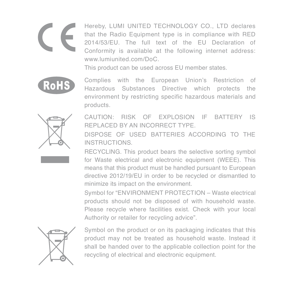Hereby, LUMI UNITED TECHNOLOGY CO., LTD declares that the Radio Equipment type is in compliance with RED 2014/53/EU. The full text of the EU Declaration of Conformity is available at the following internet address: www.lumiunited.com/DoC.

This product can be used across EU member states.



Complies with the European Union's Restriction of Hazardous Substances Directive which protects the environment by restricting specific hazardous materials and products.



CAUTION: RISK OF EXPLOSION IF BATTERY IS REPLACED BY AN INCORRECT TYPE.

DISPOSE OF USED BATTERIES ACCORDING TO THE INSTRUCTIONS.

RECYCLING. This product bears the selective sorting symbol for Waste electrical and electronic equipment (WEEE). This means that this product must be handled pursuant to European directive 2012/19/EU in order to be recycled or dismantled to minimize its impact on the environment.

Symbol for "ENVIRONMENT PROTECTION – Waste electrical products should not be disposed of with household waste. Please recycle where facilities exist. Check with your local Authority or retailer for recycling advice".



Symbol on the product or on its packaging indicates that this product may not be treated as household waste. Instead it shall be handed over to the applicable collection point for the recycling of electrical and electronic equipment.